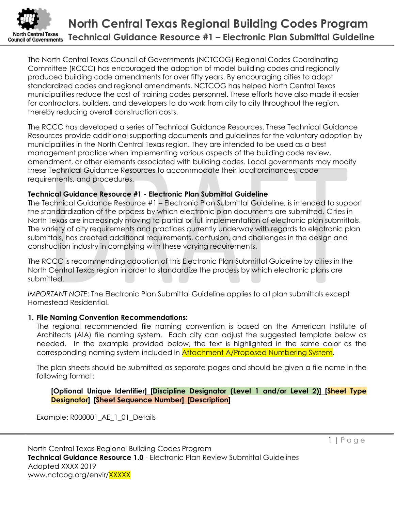

The North Central Texas Council of Governments (NCTCOG) Regional Codes Coordinating Committee (RCCC) has encouraged the adoption of model building codes and regionally produced building code amendments for over fifty years. By encouraging cities to adopt standardized codes and regional amendments, NCTCOG has helped North Central Texas municipalities reduce the cost of training codes personnel. These efforts have also made it easier for contractors, builders, and developers to do work from city to city throughout the region, thereby reducing overall construction costs.

The RCCC has developed a series of Technical Guidance Resources. These Technical Guidance Resources provide additional supporting documents and guidelines for the voluntary adoption by municipalities in the North Central Texas region. They are intended to be used as a best management practice when implementing various aspects of the building code review, amendment, or other elements associated with building codes. Local governments may modify these Technical Guidance Resources to accommodate their local ordinances, code requirements, and procedures.

## Technical Guidance Resource #1 - Electronic Plan Submittal Guideline

The Technical Guidance Resource #1 – Electronic Plan Submittal Guideline, is intended to support the standardization of the process by which electronic plan documents are submitted. Cities in North Texas are increasingly moving to partial or full implementation of electronic plan submittals. The variety of city requirements and practices currently underway with regards to electronic plan submittals, has created additional requirements, confusion, and challenges in the design and construction industry in complying with these varying requirements.

The RCCC is recommending adoption of this Electronic Plan Submittal Guideline by cities in the North Central Texas region in order to standardize the process by which electronic plans are submitted.

IMPORTANT NOTE: The Electronic Plan Submittal Guideline applies to all plan submittals except Homestead Residential.

# 1. File Naming Convention Recommendations:

The regional recommended file naming convention is based on the American Institute of Architects (AIA) file naming system. Each city can adjust the suggested template below as needed. In the example provided below, the text is highlighted in the same color as the corresponding naming system included in Attachment A/Proposed Numbering System.

The plan sheets should be submitted as separate pages and should be given a file name in the following format:

[Optional Unique Identifier]\_[Discipline Designator (Level 1 and/or Level 2)]\_[Sheet Type Designator]\_[Sheet Sequence Number]\_[Description]

Example: R000001\_AE\_1\_01\_Details